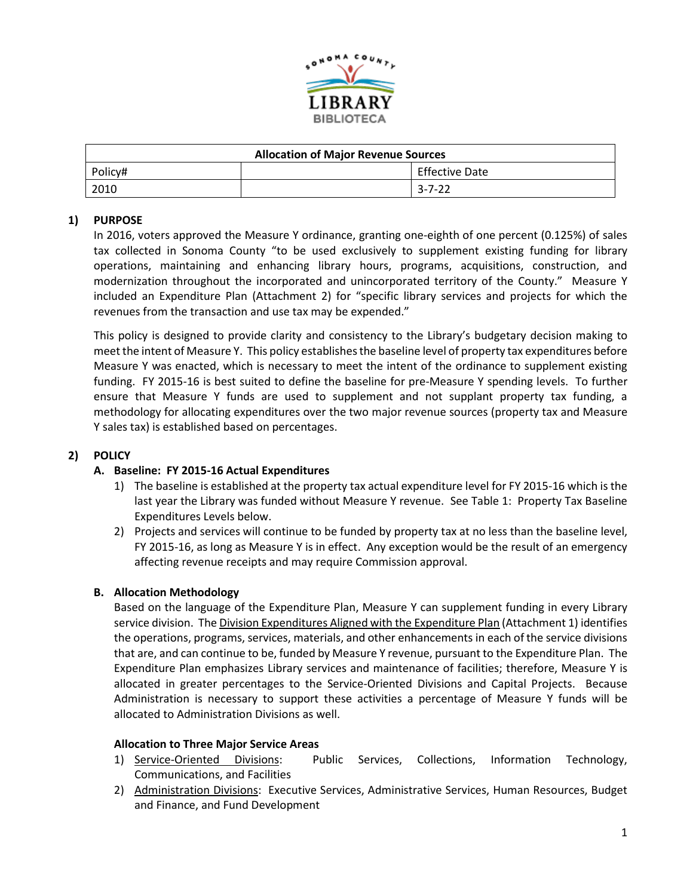

| <b>Allocation of Major Revenue Sources</b> |  |                       |
|--------------------------------------------|--|-----------------------|
| Policy#                                    |  | <b>Effective Date</b> |
| 2010<br>$3 - 7 - 22$                       |  |                       |

## **1) PURPOSE**

In 2016, voters approved the Measure Y ordinance, granting one-eighth of one percent (0.125%) of sales tax collected in Sonoma County "to be used exclusively to supplement existing funding for library operations, maintaining and enhancing library hours, programs, acquisitions, construction, and modernization throughout the incorporated and unincorporated territory of the County." Measure Y included an Expenditure Plan (Attachment 2) for "specific library services and projects for which the revenues from the transaction and use tax may be expended."

This policy is designed to provide clarity and consistency to the Library's budgetary decision making to meet the intent of Measure Y. This policy establishes the baseline level of property tax expenditures before Measure Y was enacted, which is necessary to meet the intent of the ordinance to supplement existing funding. FY 2015-16 is best suited to define the baseline for pre-Measure Y spending levels. To further ensure that Measure Y funds are used to supplement and not supplant property tax funding, a methodology for allocating expenditures over the two major revenue sources (property tax and Measure Y sales tax) is established based on percentages.

#### **2) POLICY**

#### **A. Baseline: FY 2015-16 Actual Expenditures**

- 1) The baseline is established at the property tax actual expenditure level for FY 2015-16 which is the last year the Library was funded without Measure Y revenue. See Table 1: Property Tax Baseline Expenditures Levels below.
- 2) Projects and services will continue to be funded by property tax at no less than the baseline level, FY 2015-16, as long as Measure Y is in effect. Any exception would be the result of an emergency affecting revenue receipts and may require Commission approval.

#### **B. Allocation Methodology**

Based on the language of the Expenditure Plan, Measure Y can supplement funding in every Library service division. The Division Expenditures Aligned with the Expenditure Plan (Attachment 1) identifies the operations, programs, services, materials, and other enhancements in each of the service divisions that are, and can continue to be, funded by Measure Y revenue, pursuant to the Expenditure Plan. The Expenditure Plan emphasizes Library services and maintenance of facilities; therefore, Measure Y is allocated in greater percentages to the Service-Oriented Divisions and Capital Projects. Because Administration is necessary to support these activities a percentage of Measure Y funds will be allocated to Administration Divisions as well.

#### **Allocation to Three Major Service Areas**

- 1) Service-Oriented Divisions: Public Services, Collections, Information Technology, Communications, and Facilities
- 2) Administration Divisions: Executive Services, Administrative Services, Human Resources, Budget and Finance, and Fund Development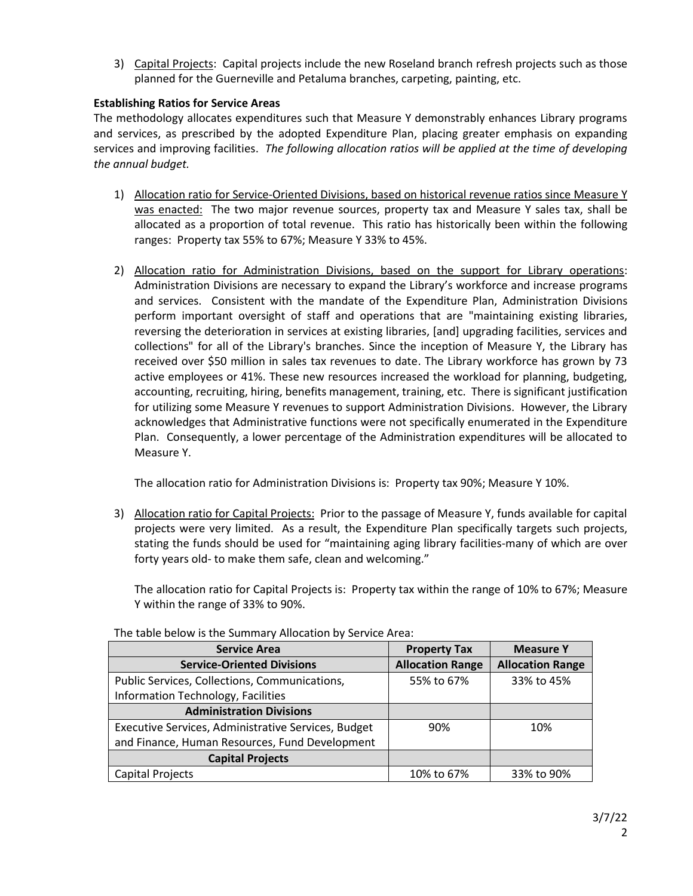3) Capital Projects: Capital projects include the new Roseland branch refresh projects such as those planned for the Guerneville and Petaluma branches, carpeting, painting, etc.

## **Establishing Ratios for Service Areas**

The methodology allocates expenditures such that Measure Y demonstrably enhances Library programs and services, as prescribed by the adopted Expenditure Plan, placing greater emphasis on expanding services and improving facilities. *The following allocation ratios will be applied at the time of developing the annual budget.*

- 1) Allocation ratio for Service-Oriented Divisions, based on historical revenue ratios since Measure Y was enacted: The two major revenue sources, property tax and Measure Y sales tax, shall be allocated as a proportion of total revenue. This ratio has historically been within the following ranges: Property tax 55% to 67%; Measure Y 33% to 45%.
- 2) Allocation ratio for Administration Divisions, based on the support for Library operations: Administration Divisions are necessary to expand the Library's workforce and increase programs and services. Consistent with the mandate of the Expenditure Plan, Administration Divisions perform important oversight of staff and operations that are "maintaining existing libraries, reversing the deterioration in services at existing libraries, [and] upgrading facilities, services and collections" for all of the Library's branches. Since the inception of Measure Y, the Library has received over \$50 million in sales tax revenues to date. The Library workforce has grown by 73 active employees or 41%. These new resources increased the workload for planning, budgeting, accounting, recruiting, hiring, benefits management, training, etc. There is significant justification for utilizing some Measure Y revenues to support Administration Divisions. However, the Library acknowledges that Administrative functions were not specifically enumerated in the Expenditure Plan. Consequently, a lower percentage of the Administration expenditures will be allocated to Measure Y.

The allocation ratio for Administration Divisions is: Property tax 90%; Measure Y 10%.

3) Allocation ratio for Capital Projects: Prior to the passage of Measure Y, funds available for capital projects were very limited. As a result, the Expenditure Plan specifically targets such projects, stating the funds should be used for "maintaining aging library facilities-many of which are over forty years old- to make them safe, clean and welcoming."

The allocation ratio for Capital Projects is: Property tax within the range of 10% to 67%; Measure Y within the range of 33% to 90%.

| <b>Service Area</b>                                 | <b>Property Tax</b>     | <b>Measure Y</b>        |
|-----------------------------------------------------|-------------------------|-------------------------|
| <b>Service-Oriented Divisions</b>                   | <b>Allocation Range</b> | <b>Allocation Range</b> |
| Public Services, Collections, Communications,       | 55% to 67%              | 33% to 45%              |
| Information Technology, Facilities                  |                         |                         |
| <b>Administration Divisions</b>                     |                         |                         |
| Executive Services, Administrative Services, Budget | 90%                     | 10%                     |
| and Finance, Human Resources, Fund Development      |                         |                         |
| <b>Capital Projects</b>                             |                         |                         |
| Capital Projects                                    | 10% to 67%              | 33% to 90%              |

The table below is the Summary Allocation by Service Area: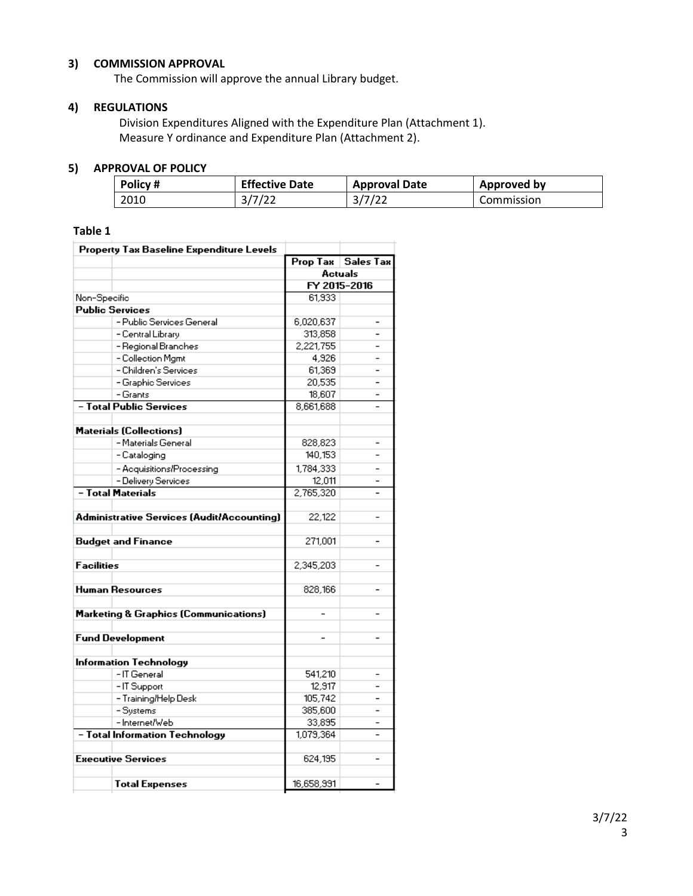## **3) COMMISSION APPROVAL**

The Commission will approve the annual Library budget.

#### **4) REGULATIONS**

Division Expenditures Aligned with the Expenditure Plan (Attachment 1). Measure Y ordinance and Expenditure Plan (Attachment 2).

#### **5) APPROVAL OF POLICY**

| Policy# | <b>Effective Date</b> | <b>Approval Date</b> | Approved by |
|---------|-----------------------|----------------------|-------------|
| 2010    | 3/7/22                | 3/7/22               | Commission  |

## **Table 1**

| <b>Property Tax Baseline Expenditure Levels</b> |                                                   |                          |                      |  |
|-------------------------------------------------|---------------------------------------------------|--------------------------|----------------------|--|
|                                                 |                                                   |                          | Prop Tax   Sales Tax |  |
|                                                 |                                                   |                          | <b>Actuals</b>       |  |
|                                                 |                                                   |                          | FY 2015-2016         |  |
| Non-Specific                                    |                                                   | 61,933                   |                      |  |
| <b>Public Services</b>                          |                                                   |                          |                      |  |
|                                                 | - Public Services General                         | 6,020,637                |                      |  |
|                                                 | - Central Library                                 | 313,858                  |                      |  |
|                                                 | - Regional Branches                               | 2.221.755                |                      |  |
|                                                 | - Collection Mgmt                                 | 4,926                    |                      |  |
|                                                 | - Children's Services                             | 61,369                   |                      |  |
|                                                 | - Graphic Services                                | 20,535                   |                      |  |
|                                                 | - Grants                                          | 18,607                   |                      |  |
|                                                 | - Total Public Services                           | 8.661.688                |                      |  |
|                                                 | <b>Materials (Collections)</b>                    |                          |                      |  |
|                                                 | - Materials General                               | 828,823                  |                      |  |
|                                                 | - Cataloging                                      | 140,153                  |                      |  |
|                                                 | - Acquisitions/Processing                         | 1,784,333                |                      |  |
|                                                 | - Delivery Services                               | 12,011                   |                      |  |
| - Total Materials                               |                                                   | 2,765,320                |                      |  |
|                                                 |                                                   |                          |                      |  |
|                                                 | <b>Administrative Services (Audit/Accounting)</b> | 22,122                   |                      |  |
|                                                 | <b>Budget and Finance</b>                         | 271,001                  |                      |  |
|                                                 |                                                   |                          |                      |  |
| <b>Facilities</b>                               |                                                   | 2,345,203                |                      |  |
| Human Resources                                 |                                                   | 828.166                  |                      |  |
|                                                 | <b>Marketing &amp; Graphics (Communications)</b>  |                          |                      |  |
|                                                 | <b>Fund Development</b>                           | $\overline{\phantom{0}}$ | $\overline{a}$       |  |
|                                                 |                                                   |                          |                      |  |
|                                                 | Information Technology                            |                          |                      |  |
|                                                 | -IT General                                       | 541,210                  |                      |  |
|                                                 | -IT Support                                       | 12,917                   |                      |  |
|                                                 | - Training/Help Desk                              | 105,742                  |                      |  |
|                                                 | - Systems                                         | 385,600                  |                      |  |
|                                                 | - Internet/Web                                    | 33,895                   |                      |  |
|                                                 | - Total Information Technology                    | 1,079,364                | $\overline{a}$       |  |
|                                                 | <b>Executive Services</b>                         | 624,195                  |                      |  |
|                                                 |                                                   |                          |                      |  |
|                                                 | <b>Total Expenses</b>                             | 16,658,991               |                      |  |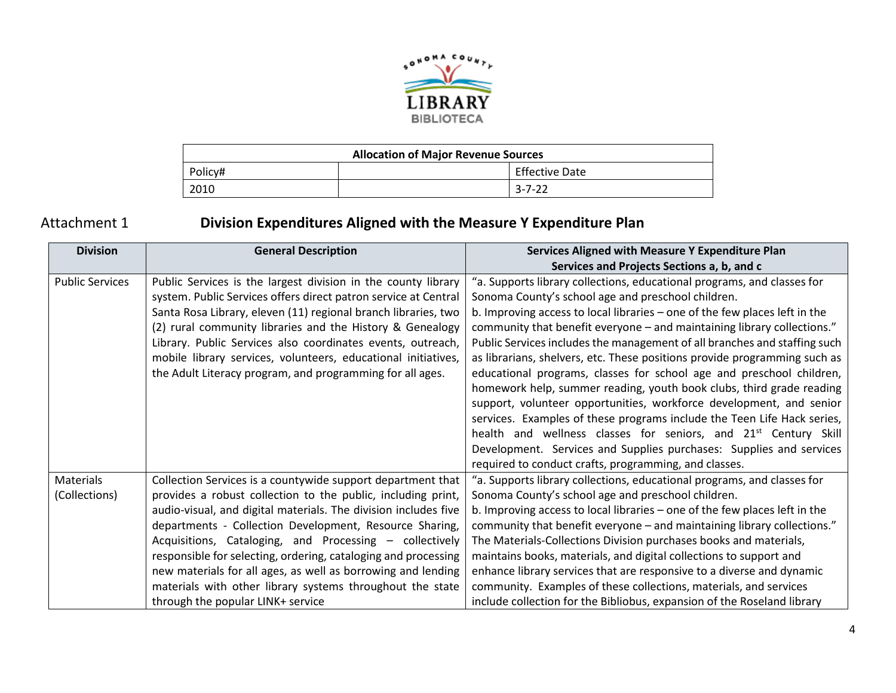

| <b>Allocation of Major Revenue Sources</b> |  |                       |
|--------------------------------------------|--|-----------------------|
| Policy#                                    |  | <b>Effective Date</b> |
| 2010                                       |  | $3 - 7 - 22$          |

# Attachment 1 **Division Expenditures Aligned with the Measure Y Expenditure Plan**

| <b>Division</b>        | <b>General Description</b>                                      | Services Aligned with Measure Y Expenditure Plan                            |
|------------------------|-----------------------------------------------------------------|-----------------------------------------------------------------------------|
|                        |                                                                 | Services and Projects Sections a, b, and c                                  |
| <b>Public Services</b> | Public Services is the largest division in the county library   | "a. Supports library collections, educational programs, and classes for     |
|                        | system. Public Services offers direct patron service at Central | Sonoma County's school age and preschool children.                          |
|                        | Santa Rosa Library, eleven (11) regional branch libraries, two  | b. Improving access to local libraries - one of the few places left in the  |
|                        | (2) rural community libraries and the History & Genealogy       | community that benefit everyone - and maintaining library collections."     |
|                        | Library. Public Services also coordinates events, outreach,     | Public Services includes the management of all branches and staffing such   |
|                        | mobile library services, volunteers, educational initiatives,   | as librarians, shelvers, etc. These positions provide programming such as   |
|                        | the Adult Literacy program, and programming for all ages.       | educational programs, classes for school age and preschool children,        |
|                        |                                                                 | homework help, summer reading, youth book clubs, third grade reading        |
|                        |                                                                 | support, volunteer opportunities, workforce development, and senior         |
|                        |                                                                 | services. Examples of these programs include the Teen Life Hack series,     |
|                        |                                                                 | health and wellness classes for seniors, and 21 <sup>st</sup> Century Skill |
|                        |                                                                 | Development. Services and Supplies purchases: Supplies and services         |
|                        |                                                                 | required to conduct crafts, programming, and classes.                       |
| <b>Materials</b>       | Collection Services is a countywide support department that     | "a. Supports library collections, educational programs, and classes for     |
| (Collections)          | provides a robust collection to the public, including print,    | Sonoma County's school age and preschool children.                          |
|                        | audio-visual, and digital materials. The division includes five | b. Improving access to local libraries – one of the few places left in the  |
|                        | departments - Collection Development, Resource Sharing,         | community that benefit everyone - and maintaining library collections."     |
|                        | Acquisitions, Cataloging, and Processing – collectively         | The Materials-Collections Division purchases books and materials,           |
|                        | responsible for selecting, ordering, cataloging and processing  | maintains books, materials, and digital collections to support and          |
|                        | new materials for all ages, as well as borrowing and lending    | enhance library services that are responsive to a diverse and dynamic       |
|                        | materials with other library systems throughout the state       | community. Examples of these collections, materials, and services           |
|                        | through the popular LINK+ service                               | include collection for the Bibliobus, expansion of the Roseland library     |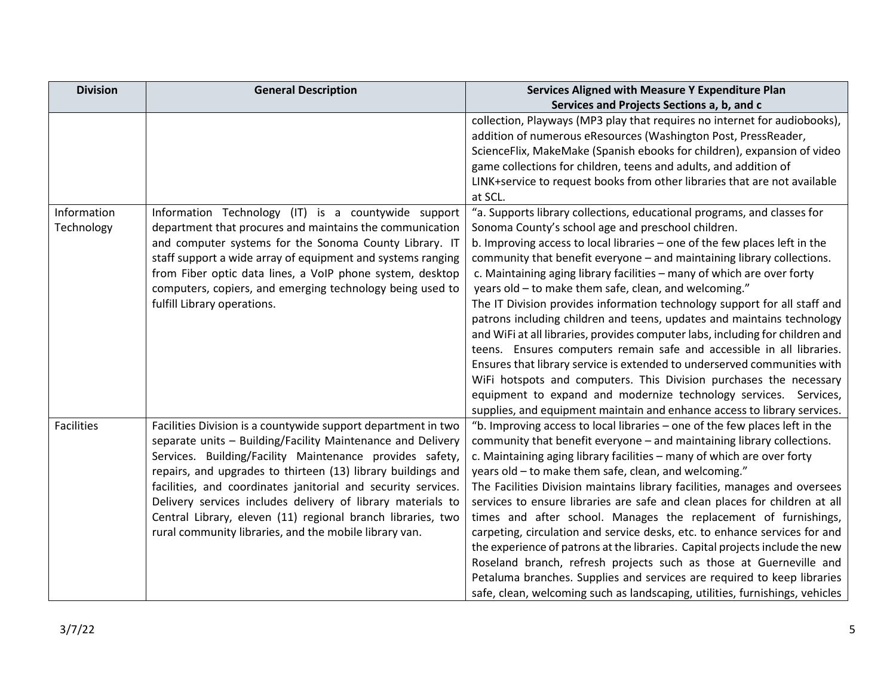| <b>Division</b>           | <b>General Description</b>                                                                                                                                                                                                                                                                                                                                                                                                                                                                                        | Services Aligned with Measure Y Expenditure Plan                                                                                                                                                                                                                                                                                                                                                                                                                                                                                                                                                                                                                                                                                                                                                                                                                                                                                                                                                                                            |
|---------------------------|-------------------------------------------------------------------------------------------------------------------------------------------------------------------------------------------------------------------------------------------------------------------------------------------------------------------------------------------------------------------------------------------------------------------------------------------------------------------------------------------------------------------|---------------------------------------------------------------------------------------------------------------------------------------------------------------------------------------------------------------------------------------------------------------------------------------------------------------------------------------------------------------------------------------------------------------------------------------------------------------------------------------------------------------------------------------------------------------------------------------------------------------------------------------------------------------------------------------------------------------------------------------------------------------------------------------------------------------------------------------------------------------------------------------------------------------------------------------------------------------------------------------------------------------------------------------------|
|                           |                                                                                                                                                                                                                                                                                                                                                                                                                                                                                                                   | Services and Projects Sections a, b, and c                                                                                                                                                                                                                                                                                                                                                                                                                                                                                                                                                                                                                                                                                                                                                                                                                                                                                                                                                                                                  |
|                           |                                                                                                                                                                                                                                                                                                                                                                                                                                                                                                                   | collection, Playways (MP3 play that requires no internet for audiobooks),<br>addition of numerous eResources (Washington Post, PressReader,<br>ScienceFlix, MakeMake (Spanish ebooks for children), expansion of video<br>game collections for children, teens and adults, and addition of                                                                                                                                                                                                                                                                                                                                                                                                                                                                                                                                                                                                                                                                                                                                                  |
|                           |                                                                                                                                                                                                                                                                                                                                                                                                                                                                                                                   | LINK+service to request books from other libraries that are not available<br>at SCL.                                                                                                                                                                                                                                                                                                                                                                                                                                                                                                                                                                                                                                                                                                                                                                                                                                                                                                                                                        |
| Information<br>Technology | Information Technology (IT) is a countywide support<br>department that procures and maintains the communication<br>and computer systems for the Sonoma County Library. IT<br>staff support a wide array of equipment and systems ranging<br>from Fiber optic data lines, a VoIP phone system, desktop<br>computers, copiers, and emerging technology being used to<br>fulfill Library operations.                                                                                                                 | "a. Supports library collections, educational programs, and classes for<br>Sonoma County's school age and preschool children.<br>b. Improving access to local libraries - one of the few places left in the<br>community that benefit everyone - and maintaining library collections.<br>c. Maintaining aging library facilities - many of which are over forty<br>years old - to make them safe, clean, and welcoming."<br>The IT Division provides information technology support for all staff and<br>patrons including children and teens, updates and maintains technology<br>and WiFi at all libraries, provides computer labs, including for children and<br>teens. Ensures computers remain safe and accessible in all libraries.<br>Ensures that library service is extended to underserved communities with<br>WiFi hotspots and computers. This Division purchases the necessary<br>equipment to expand and modernize technology services. Services,<br>supplies, and equipment maintain and enhance access to library services. |
| <b>Facilities</b>         | Facilities Division is a countywide support department in two<br>separate units - Building/Facility Maintenance and Delivery<br>Services. Building/Facility Maintenance provides safety,<br>repairs, and upgrades to thirteen (13) library buildings and<br>facilities, and coordinates janitorial and security services.<br>Delivery services includes delivery of library materials to<br>Central Library, eleven (11) regional branch libraries, two<br>rural community libraries, and the mobile library van. | "b. Improving access to local libraries - one of the few places left in the<br>community that benefit everyone - and maintaining library collections.<br>c. Maintaining aging library facilities - many of which are over forty<br>years old - to make them safe, clean, and welcoming."<br>The Facilities Division maintains library facilities, manages and oversees<br>services to ensure libraries are safe and clean places for children at all<br>times and after school. Manages the replacement of furnishings,<br>carpeting, circulation and service desks, etc. to enhance services for and<br>the experience of patrons at the libraries. Capital projects include the new<br>Roseland branch, refresh projects such as those at Guerneville and<br>Petaluma branches. Supplies and services are required to keep libraries<br>safe, clean, welcoming such as landscaping, utilities, furnishings, vehicles                                                                                                                      |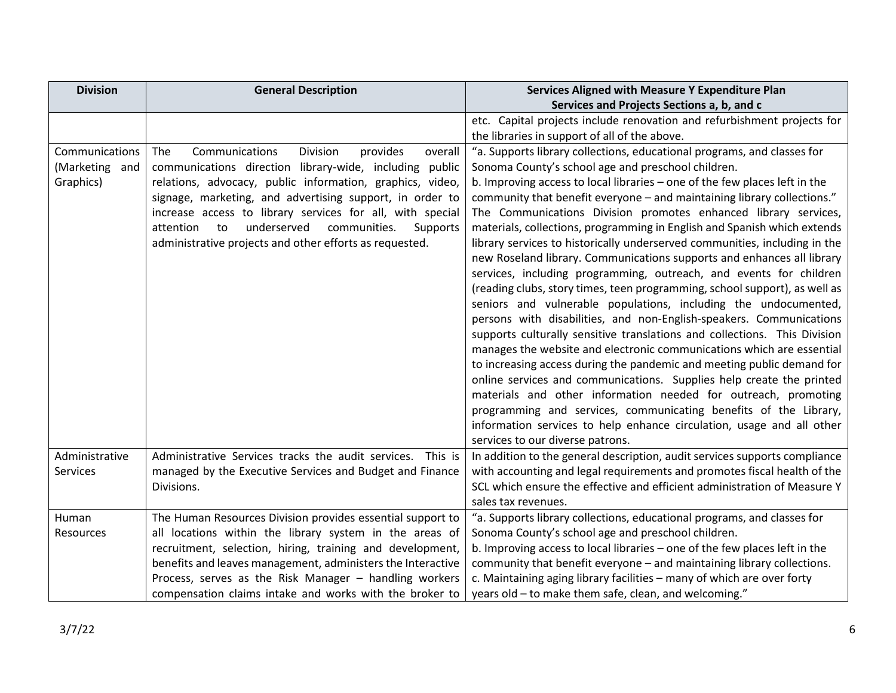| <b>Division</b>  | <b>General Description</b>                                  | Services Aligned with Measure Y Expenditure Plan                           |
|------------------|-------------------------------------------------------------|----------------------------------------------------------------------------|
|                  |                                                             | Services and Projects Sections a, b, and c                                 |
|                  |                                                             | etc. Capital projects include renovation and refurbishment projects for    |
|                  |                                                             | the libraries in support of all of the above.                              |
| Communications   | Communications<br>Division<br>provides<br>The<br>overall    | "a. Supports library collections, educational programs, and classes for    |
| (Marketing and   | communications direction library-wide, including public     | Sonoma County's school age and preschool children.                         |
| Graphics)        | relations, advocacy, public information, graphics, video,   | b. Improving access to local libraries - one of the few places left in the |
|                  | signage, marketing, and advertising support, in order to    | community that benefit everyone - and maintaining library collections."    |
|                  | increase access to library services for all, with special   | The Communications Division promotes enhanced library services,            |
|                  | underserved<br>attention<br>to<br>communities.<br>Supports  | materials, collections, programming in English and Spanish which extends   |
|                  | administrative projects and other efforts as requested.     | library services to historically underserved communities, including in the |
|                  |                                                             | new Roseland library. Communications supports and enhances all library     |
|                  |                                                             | services, including programming, outreach, and events for children         |
|                  |                                                             | (reading clubs, story times, teen programming, school support), as well as |
|                  |                                                             | seniors and vulnerable populations, including the undocumented,            |
|                  |                                                             | persons with disabilities, and non-English-speakers. Communications        |
|                  |                                                             | supports culturally sensitive translations and collections. This Division  |
|                  |                                                             | manages the website and electronic communications which are essential      |
|                  |                                                             | to increasing access during the pandemic and meeting public demand for     |
|                  |                                                             | online services and communications. Supplies help create the printed       |
|                  |                                                             | materials and other information needed for outreach, promoting             |
|                  |                                                             | programming and services, communicating benefits of the Library,           |
|                  |                                                             | information services to help enhance circulation, usage and all other      |
|                  |                                                             | services to our diverse patrons.                                           |
| Administrative   | Administrative Services tracks the audit services. This is  | In addition to the general description, audit services supports compliance |
| Services         | managed by the Executive Services and Budget and Finance    | with accounting and legal requirements and promotes fiscal health of the   |
|                  | Divisions.                                                  | SCL which ensure the effective and efficient administration of Measure Y   |
|                  |                                                             | sales tax revenues.                                                        |
| Human            | The Human Resources Division provides essential support to  | "a. Supports library collections, educational programs, and classes for    |
| <b>Resources</b> | all locations within the library system in the areas of     | Sonoma County's school age and preschool children.                         |
|                  | recruitment, selection, hiring, training and development,   | b. Improving access to local libraries - one of the few places left in the |
|                  | benefits and leaves management, administers the Interactive | community that benefit everyone - and maintaining library collections.     |
|                  | Process, serves as the Risk Manager - handling workers      | c. Maintaining aging library facilities - many of which are over forty     |
|                  | compensation claims intake and works with the broker to     | years old - to make them safe, clean, and welcoming."                      |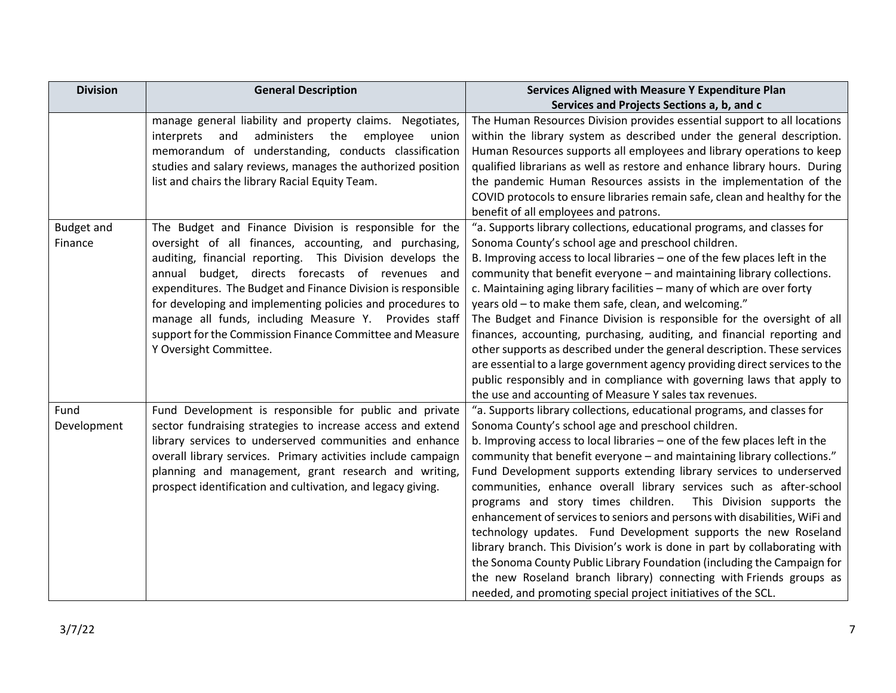| <b>Division</b>              | <b>General Description</b>                                                                                                                                                                                                                                                                                                                                                                                                                                                                                        | Services Aligned with Measure Y Expenditure Plan                                                                                                                                                                                                                                                                                                                                                                                                                                                                                                                                                                                                                                                                                                                                                                                                                                                                                                        |
|------------------------------|-------------------------------------------------------------------------------------------------------------------------------------------------------------------------------------------------------------------------------------------------------------------------------------------------------------------------------------------------------------------------------------------------------------------------------------------------------------------------------------------------------------------|---------------------------------------------------------------------------------------------------------------------------------------------------------------------------------------------------------------------------------------------------------------------------------------------------------------------------------------------------------------------------------------------------------------------------------------------------------------------------------------------------------------------------------------------------------------------------------------------------------------------------------------------------------------------------------------------------------------------------------------------------------------------------------------------------------------------------------------------------------------------------------------------------------------------------------------------------------|
|                              |                                                                                                                                                                                                                                                                                                                                                                                                                                                                                                                   | Services and Projects Sections a, b, and c                                                                                                                                                                                                                                                                                                                                                                                                                                                                                                                                                                                                                                                                                                                                                                                                                                                                                                              |
|                              | manage general liability and property claims. Negotiates,<br>administers the<br>interprets<br>and<br>employee<br>union<br>memorandum of understanding, conducts classification<br>studies and salary reviews, manages the authorized position<br>list and chairs the library Racial Equity Team.                                                                                                                                                                                                                  | The Human Resources Division provides essential support to all locations<br>within the library system as described under the general description.<br>Human Resources supports all employees and library operations to keep<br>qualified librarians as well as restore and enhance library hours. During<br>the pandemic Human Resources assists in the implementation of the<br>COVID protocols to ensure libraries remain safe, clean and healthy for the<br>benefit of all employees and patrons.                                                                                                                                                                                                                                                                                                                                                                                                                                                     |
| <b>Budget and</b><br>Finance | The Budget and Finance Division is responsible for the<br>oversight of all finances, accounting, and purchasing,<br>auditing, financial reporting. This Division develops the<br>budget, directs forecasts of revenues and<br>annual<br>expenditures. The Budget and Finance Division is responsible<br>for developing and implementing policies and procedures to<br>manage all funds, including Measure Y. Provides staff<br>support for the Commission Finance Committee and Measure<br>Y Oversight Committee. | "a. Supports library collections, educational programs, and classes for<br>Sonoma County's school age and preschool children.<br>B. Improving access to local libraries - one of the few places left in the<br>community that benefit everyone - and maintaining library collections.<br>c. Maintaining aging library facilities - many of which are over forty<br>years old - to make them safe, clean, and welcoming."<br>The Budget and Finance Division is responsible for the oversight of all<br>finances, accounting, purchasing, auditing, and financial reporting and<br>other supports as described under the general description. These services<br>are essential to a large government agency providing direct services to the<br>public responsibly and in compliance with governing laws that apply to<br>the use and accounting of Measure Y sales tax revenues.                                                                         |
| Fund<br>Development          | Fund Development is responsible for public and private<br>sector fundraising strategies to increase access and extend<br>library services to underserved communities and enhance<br>overall library services. Primary activities include campaign<br>planning and management, grant research and writing,<br>prospect identification and cultivation, and legacy giving.                                                                                                                                          | "a. Supports library collections, educational programs, and classes for<br>Sonoma County's school age and preschool children.<br>b. Improving access to local libraries - one of the few places left in the<br>community that benefit everyone - and maintaining library collections."<br>Fund Development supports extending library services to underserved<br>communities, enhance overall library services such as after-school<br>programs and story times children.<br>This Division supports the<br>enhancement of services to seniors and persons with disabilities, WiFi and<br>technology updates. Fund Development supports the new Roseland<br>library branch. This Division's work is done in part by collaborating with<br>the Sonoma County Public Library Foundation (including the Campaign for<br>the new Roseland branch library) connecting with Friends groups as<br>needed, and promoting special project initiatives of the SCL. |